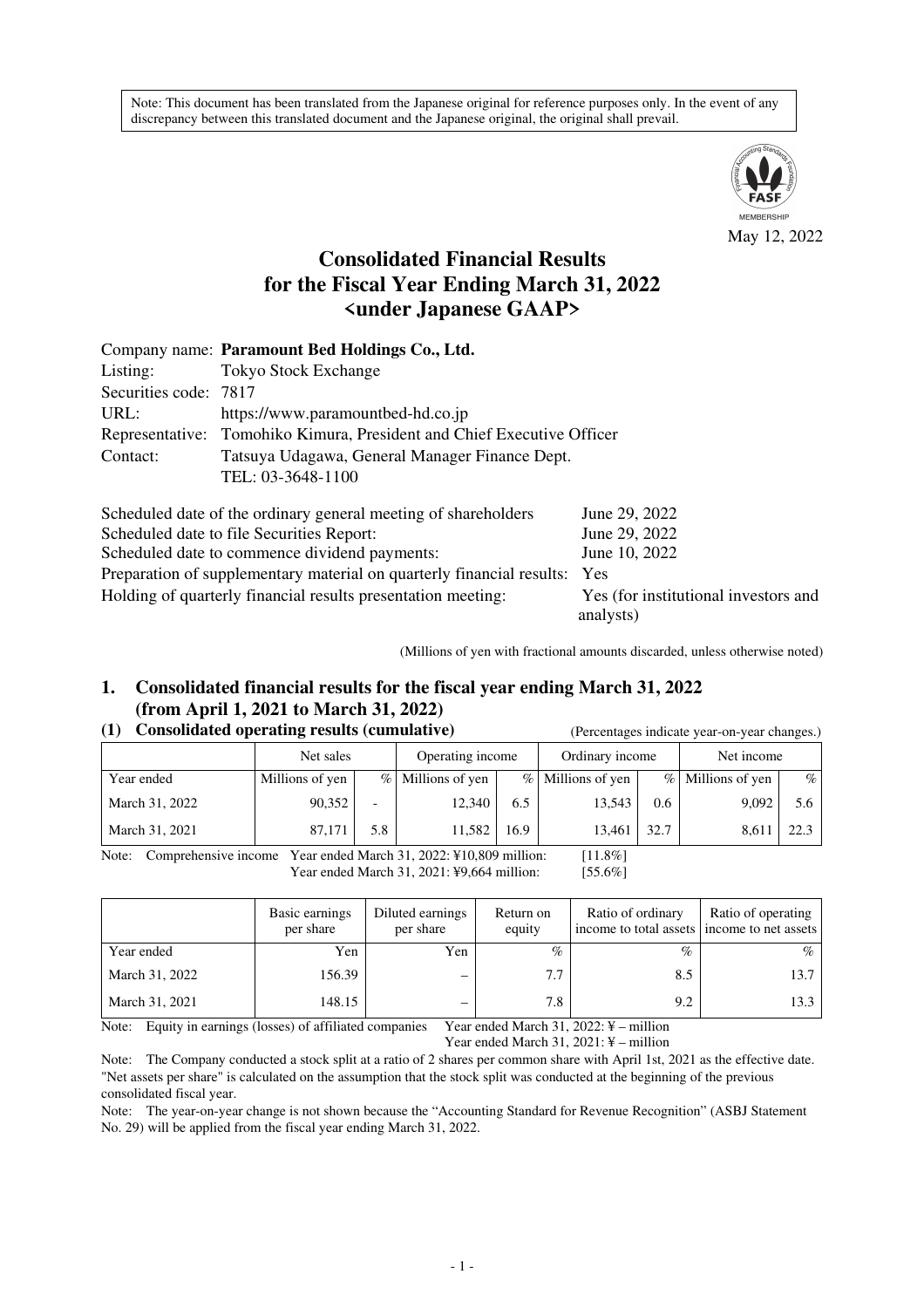Note: This document has been translated from the Japanese original for reference purposes only. In the event of any discrepancy between this translated document and the Japanese original, the original shall prevail.



# **Consolidated Financial Results for the Fiscal Year Ending March 31, 2022 <under Japanese GAAP>**

|                                                                | Company name: Paramount Bed Holdings Co., Ltd.                            |               |  |  |  |  |  |
|----------------------------------------------------------------|---------------------------------------------------------------------------|---------------|--|--|--|--|--|
| Listing:                                                       | <b>Tokyo Stock Exchange</b>                                               |               |  |  |  |  |  |
| Securities code: 7817                                          |                                                                           |               |  |  |  |  |  |
| URL:                                                           | https://www.paramountbed-hd.co.jp                                         |               |  |  |  |  |  |
|                                                                | Representative: Tomohiko Kimura, President and Chief Executive Officer    |               |  |  |  |  |  |
| Contact:                                                       | Tatsuya Udagawa, General Manager Finance Dept.                            |               |  |  |  |  |  |
|                                                                | TEL: 03-3648-1100                                                         |               |  |  |  |  |  |
|                                                                | Scheduled date of the ordinary general meeting of shareholders            | June 29, 2022 |  |  |  |  |  |
| Scheduled date to file Securities Report:<br>June 29, 2022     |                                                                           |               |  |  |  |  |  |
| Scheduled date to commence dividend payments:<br>June 10, 2022 |                                                                           |               |  |  |  |  |  |
|                                                                | Preparation of supplementary material on quarterly financial results: Yes |               |  |  |  |  |  |

Holding of quarterly financial results presentation meeting: Yes (for institutional investors and

(Millions of yen with fractional amounts discarded, unless otherwise noted)

analysts)

# **1. Consolidated financial results for the fiscal year ending March 31, 2022 (from April 1, 2021 to March 31, 2022)**

#### **(1) Consolidated operating results (cumulative)** (Percentages indicate year-on-year changes.)

|                | Net sales       |                          | Operating income  |      | Ordinary income     |      | Net income          |      |
|----------------|-----------------|--------------------------|-------------------|------|---------------------|------|---------------------|------|
| Year ended     | Millions of yen |                          | % Millions of yen |      | $%$ Millions of yen |      | $%$ Millions of yen | $\%$ |
| March 31, 2022 | 90,352          | $\overline{\phantom{0}}$ | 12.340            | 6.5  | 13.543              | 0.6  | 9,092               | 5.6  |
| March 31, 2021 | 87,171          | 5.8                      | 11,582            | 16.9 | 13,461              | 32.7 | 8,611               | 22.3 |

Note: Comprehensive income Year ended March 31, 2022: ¥10,809 million: [11.8%] Year ended March 31, 2021: ¥9,664 million: [55.6%]

|                | Basic earnings<br>per share | Diluted earnings<br>per share | Return on<br>equity | Ratio of ordinary<br>income to total assets income to net assets | Ratio of operating |
|----------------|-----------------------------|-------------------------------|---------------------|------------------------------------------------------------------|--------------------|
| Year ended     | Yen                         | Yen                           | $\%$                | $\%$                                                             | $\%$               |
| March 31, 2022 | 156.39                      |                               | 7.7                 | 8.5                                                              | 13.7               |
| March 31, 2021 | 148.15                      |                               | 7.8                 | 9.2                                                              | 13.3               |

Note: Equity in earnings (losses) of affiliated companies Year ended March 31, 2022: ¥ – million Year ended March 31, 2021: ¥ – million

Note: The Company conducted a stock split at a ratio of 2 shares per common share with April 1st, 2021 as the effective date. "Net assets per share" is calculated on the assumption that the stock split was conducted at the beginning of the previous consolidated fiscal year.

Note: The year-on-year change is not shown because the "Accounting Standard for Revenue Recognition" (ASBJ Statement No. 29) will be applied from the fiscal year ending March 31, 2022.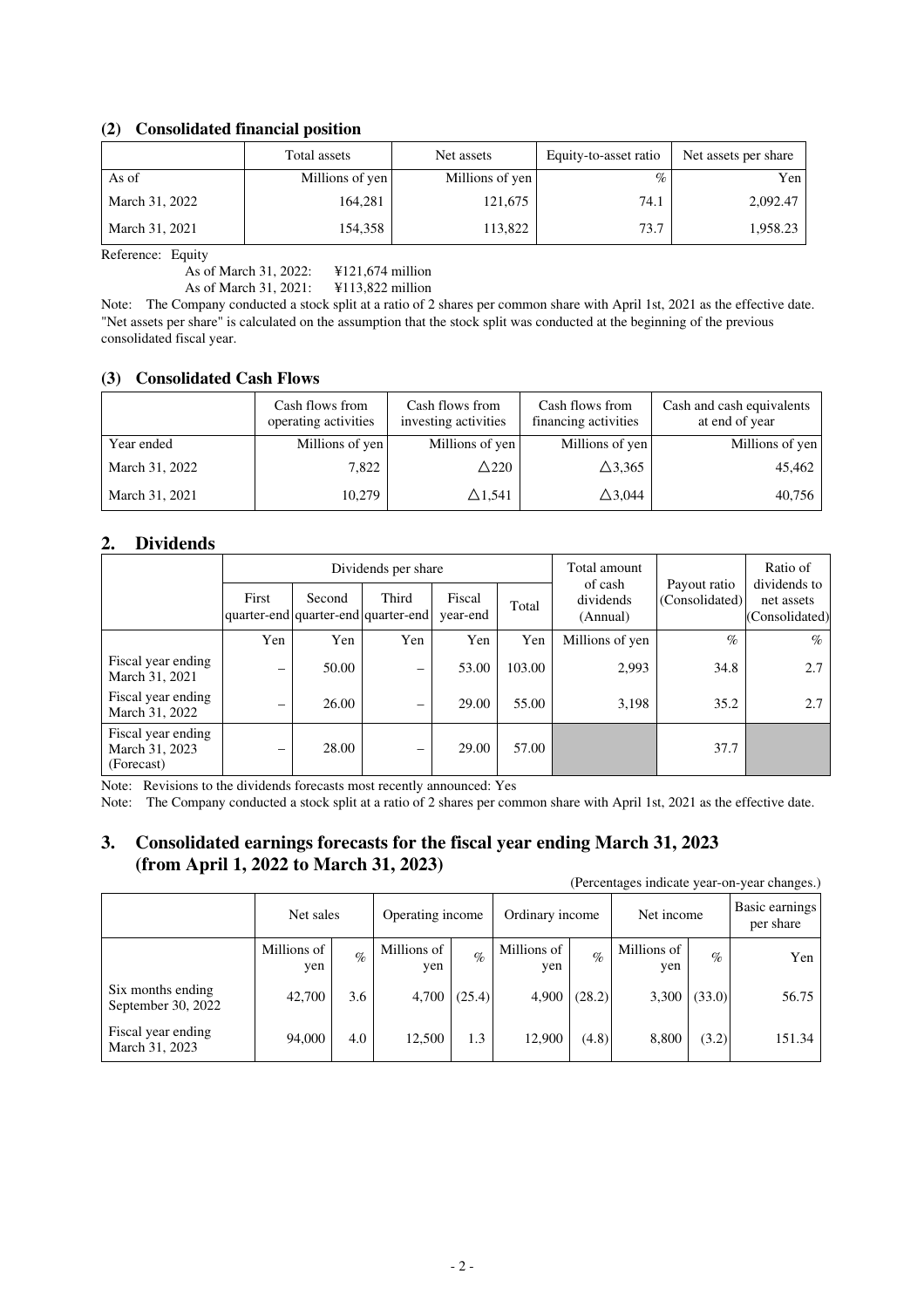# **(2) Consolidated financial position**

|                | Total assets    | Net assets      | Equity-to-asset ratio | Net assets per share |
|----------------|-----------------|-----------------|-----------------------|----------------------|
| As of          | Millions of yen | Millions of yen | $\%$                  | Yen                  |
| March 31, 2022 | 164,281         | 121,675         | 74.1                  | 2,092.47             |
| March 31, 2021 | 154.358         | 113,822         | 73.7                  | 1,958.23             |

Reference: Equity

As of March 31, 2022: ¥121,674 million As of March 31, 2021: ¥113,822 million

Note: The Company conducted a stock split at a ratio of 2 shares per common share with April 1st, 2021 as the effective date. "Net assets per share" is calculated on the assumption that the stock split was conducted at the beginning of the previous consolidated fiscal year.

### **(3) Consolidated Cash Flows**

|                | Cash flows from<br>operating activities | Cash flows from<br>investing activities | Cash flows from<br>financing activities | Cash and cash equivalents<br>at end of year |
|----------------|-----------------------------------------|-----------------------------------------|-----------------------------------------|---------------------------------------------|
| Year ended     | Millions of yen                         | Millions of yen                         | Millions of yen                         | Millions of yen                             |
| March 31, 2022 | 7.822                                   | $\triangle$ 220                         | $\triangle$ 3,365                       | 45,462                                      |
| March 31, 2021 | 10,279                                  | $\triangle$ 1,541                       | $\triangle$ 3,044                       | 40,756                                      |

# **2. Dividends**

|                                                    |                          |        | Dividends per share                          |                    |        | Total amount                     |                                | Ratio of                                     |
|----------------------------------------------------|--------------------------|--------|----------------------------------------------|--------------------|--------|----------------------------------|--------------------------------|----------------------------------------------|
|                                                    | First                    | Second | Third<br>quarter-end quarter-end quarter-end | Fiscal<br>year-end | Total  | of cash<br>dividends<br>(Annual) | Payout ratio<br>(Consolidated) | dividends to<br>net assets<br>(Consolidated) |
|                                                    | Yen                      | Yen    | Yen                                          | Yen                | Yen    | Millions of yen                  | $\%$                           | $\%$                                         |
| Fiscal year ending<br>March 31, 2021               | -                        | 50.00  | -                                            | 53.00              | 103.00 | 2,993                            | 34.8                           | 2.7                                          |
| Fiscal year ending<br>March 31, 2022               | -                        | 26.00  | $\overline{\phantom{m}}$                     | 29.00              | 55.00  | 3,198                            | 35.2                           | 2.7                                          |
| Fiscal year ending<br>March 31, 2023<br>(Forecast) | $\overline{\phantom{m}}$ | 28.00  | $\overline{\phantom{m}}$                     | 29.00              | 57.00  |                                  | 37.7                           |                                              |

Note: Revisions to the dividends forecasts most recently announced: Yes

Note: The Company conducted a stock split at a ratio of 2 shares per common share with April 1st, 2021 as the effective date.

# **3. Consolidated earnings forecasts for the fiscal year ending March 31, 2023 (from April 1, 2022 to March 31, 2023)**

| (Percentages indicate year-on-year changes.) |                    |      |                    |        |                    |        |                    |        |                             |  |
|----------------------------------------------|--------------------|------|--------------------|--------|--------------------|--------|--------------------|--------|-----------------------------|--|
|                                              | Net sales          |      | Operating income   |        | Ordinary income    |        | Net income         |        | Basic earnings<br>per share |  |
|                                              | Millions of<br>yen | $\%$ | Millions of<br>yen | $\%$   | Millions of<br>yen | $\%$   | Millions of<br>yen | $\%$   | Yen                         |  |
| Six months ending<br>September 30, 2022      | 42,700             | 3.6  | 4,700              | (25.4) | 4,900              | (28.2) | 3,300              | (33.0) | 56.75                       |  |
| Fiscal year ending<br>March 31, 2023         | 94,000             | 4.0  | 12,500             | 1.3    | 12,900             | (4.8)  | 8,800              | (3.2)  | 151.34                      |  |